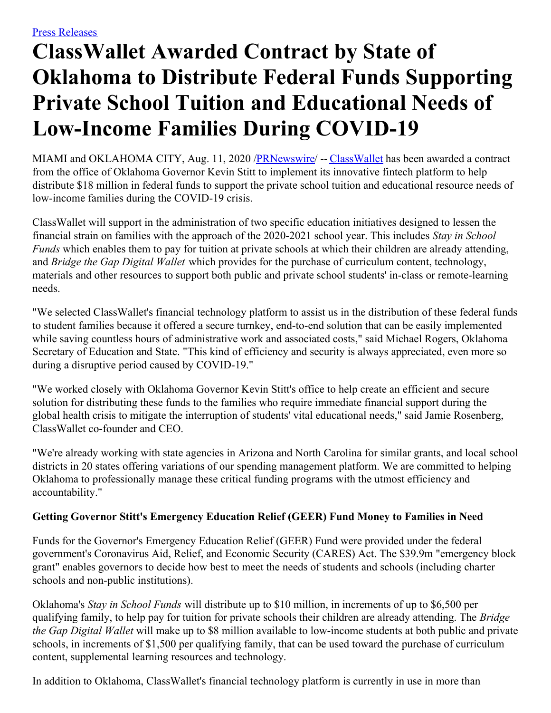## **ClassWallet Awarded Contract by State of Oklahoma to Distribute Federal Funds Supporting Private School Tuition and Educational Needs of Low-Income Families During COVID-19**

MIAMI and OKLAHOMA CITY, Aug. 11, 2020 [/PRNewswire](http://www.prnewswire.com/)/ -- [ClassWallet](https://c212.net/c/link/?t=0&l=en&o=2881708-1&h=2794746112&u=https%3A%2F%2Fwww.classwallet.com%2F%3Futm_source%3Dfeintuch%26utm_medium%3Dpress-release%26utm_campaign%3Dpr-web&a=ClassWallet) has been awarded a contract from the office of Oklahoma Governor Kevin Stitt to implement its innovative fintech platform to help distribute \$18 million in federal funds to support the private school tuition and educational resource needs of low-income families during the COVID-19 crisis.

ClassWallet will support in the administration of two specific education initiatives designed to lessen the financial strain on families with the approach of the 2020-2021 school year. This includes *Stay in School Funds* which enables them to pay for tuition at private schools at which their children are already attending, and *Bridge the Gap Digital Wallet* which provides for the purchase of curriculum content, technology, materials and other resources to support both public and private school students' in-class or remote-learning needs.

"We selected ClassWallet's financial technology platform to assist us in the distribution of these federal funds to student families because it offered a secure turnkey, end-to-end solution that can be easily implemented while saving countless hours of administrative work and associated costs," said Michael Rogers, Oklahoma Secretary of Education and State. "This kind of efficiency and security is always appreciated, even more so during a disruptive period caused by COVID-19."

"We worked closely with Oklahoma Governor Kevin Stitt's office to help create an efficient and secure solution for distributing these funds to the families who require immediate financial support during the global health crisis to mitigate the interruption of students' vital educational needs," said Jamie Rosenberg, ClassWallet co-founder and CEO.

"We're already working with state agencies in Arizona and North Carolina for similar grants, and local school districts in 20 states offering variations of our spending management platform. We are committed to helping Oklahoma to professionally manage these critical funding programs with the utmost efficiency and accountability."

## **Getting Governor Stitt's Emergency Education Relief (GEER) Fund Money to Families in Need**

Funds for the Governor's Emergency Education Relief (GEER) Fund were provided under the federal government's Coronavirus Aid, Relief, and Economic Security (CARES) Act. The \$39.9m "emergency block grant" enables governors to decide how best to meet the needs of students and schools (including charter schools and non-public institutions).

Oklahoma's *Stay in School Funds* will distribute up to \$10 million, in increments of up to \$6,500 per qualifying family, to help pay for tuition for private schools their children are already attending. The *Bridge the Gap Digital Wallet* will make up to \$8 million available to low-income students at both public and private schools, in increments of \$1,500 per qualifying family, that can be used toward the purchase of curriculum content, supplemental learning resources and technology.

In addition to Oklahoma, ClassWallet's financial technology platform is currently in use in more than